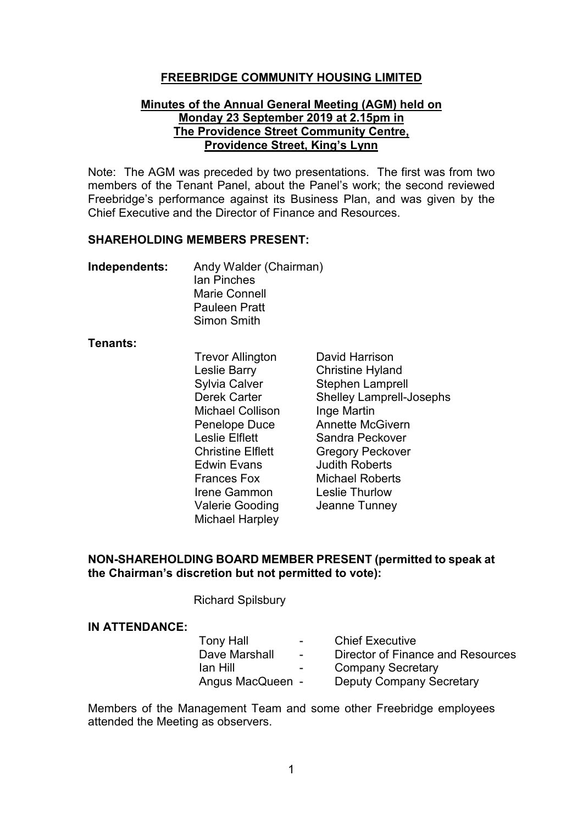#### **FREEBRIDGE COMMUNITY HOUSING LIMITED**

#### **Minutes of the Annual General Meeting (AGM) held on Monday 23 September 2019 at 2.15pm in The Providence Street Community Centre, Providence Street, King's Lynn**

Note: The AGM was preceded by two presentations. The first was from two members of the Tenant Panel, about the Panel's work; the second reviewed Freebridge's performance against its Business Plan, and was given by the Chief Executive and the Director of Finance and Resources.

#### **SHAREHOLDING MEMBERS PRESENT:**

| Independents: | Andy Walder (Chairman) |
|---------------|------------------------|
|               | <b>Ian Pinches</b>     |
|               | Marie Connell          |
|               | <b>Pauleen Pratt</b>   |
|               | Simon Smith            |

#### **Tenants:**

Trevor Allington David Harrison<br>
Leslie Barry Christine Hylan Leslie Barry Christine Hyland Michael Collison Edwin Evans Fundith Roberts<br>Frances Fox Fundith Roberts Irene Gammon Leslie Thurlow Valerie Gooding Jeanne Tunney Michael Harpley

Stephen Lamprell Derek Carter Shelley Lamprell-Josephs<br>Michael Collison Inge Martin Penelope Duce Annette McGivern Leslie Elflett Sandra Peckover Christine Elflett **Gregory Peckover** Michael Roberts

#### **NON-SHAREHOLDING BOARD MEMBER PRESENT (permitted to speak at the Chairman's discretion but not permitted to vote):**

Richard Spilsbury

#### **IN ATTENDANCE:**

| <b>Tony Hall</b> | $\sim$                   | <b>Chief Executive</b>            |
|------------------|--------------------------|-----------------------------------|
| Dave Marshall    | $\overline{\phantom{a}}$ | Director of Finance and Resources |
| Ian Hill         | $\overline{\phantom{0}}$ | <b>Company Secretary</b>          |
| Angus MacQueen - |                          | <b>Deputy Company Secretary</b>   |

Members of the Management Team and some other Freebridge employees attended the Meeting as observers.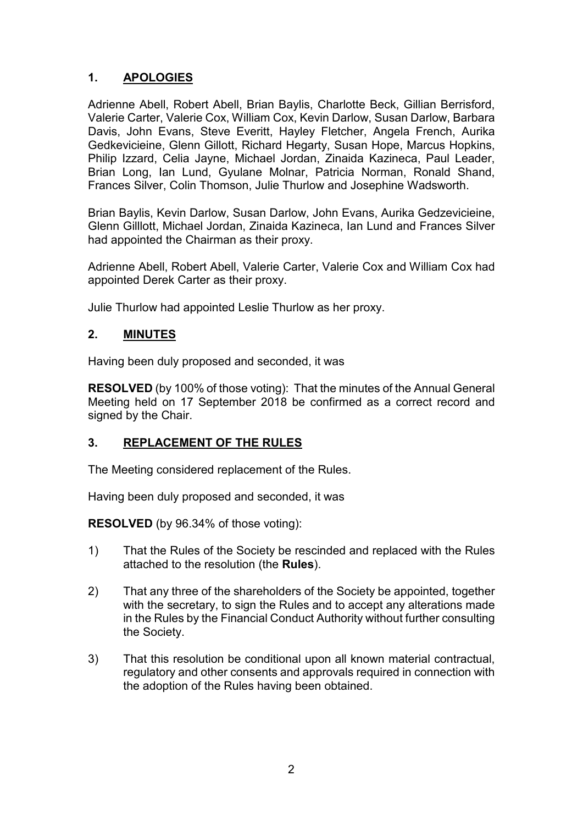# **1. APOLOGIES**

Adrienne Abell, Robert Abell, Brian Baylis, Charlotte Beck, Gillian Berrisford, Valerie Carter, Valerie Cox, William Cox, Kevin Darlow, Susan Darlow, Barbara Davis, John Evans, Steve Everitt, Hayley Fletcher, Angela French, Aurika Gedkevicieine, Glenn Gillott, Richard Hegarty, Susan Hope, Marcus Hopkins, Philip Izzard, Celia Jayne, Michael Jordan, Zinaida Kazineca, Paul Leader, Brian Long, Ian Lund, Gyulane Molnar, Patricia Norman, Ronald Shand, Frances Silver, Colin Thomson, Julie Thurlow and Josephine Wadsworth.

Brian Baylis, Kevin Darlow, Susan Darlow, John Evans, Aurika Gedzevicieine, Glenn Gilllott, Michael Jordan, Zinaida Kazineca, Ian Lund and Frances Silver had appointed the Chairman as their proxy.

Adrienne Abell, Robert Abell, Valerie Carter, Valerie Cox and William Cox had appointed Derek Carter as their proxy.

Julie Thurlow had appointed Leslie Thurlow as her proxy.

## **2. MINUTES**

Having been duly proposed and seconded, it was

**RESOLVED** (by 100% of those voting):That the minutes of the Annual General Meeting held on 17 September 2018 be confirmed as a correct record and signed by the Chair.

## **3. REPLACEMENT OF THE RULES**

The Meeting considered replacement of the Rules.

Having been duly proposed and seconded, it was

**RESOLVED** (by 96.34% of those voting):

- 1) That the Rules of the Society be rescinded and replaced with the Rules attached to the resolution (the **Rules**).
- 2) That any three of the shareholders of the Society be appointed, together with the secretary, to sign the Rules and to accept any alterations made in the Rules by the Financial Conduct Authority without further consulting the Society.
- 3) That this resolution be conditional upon all known material contractual, regulatory and other consents and approvals required in connection with the adoption of the Rules having been obtained.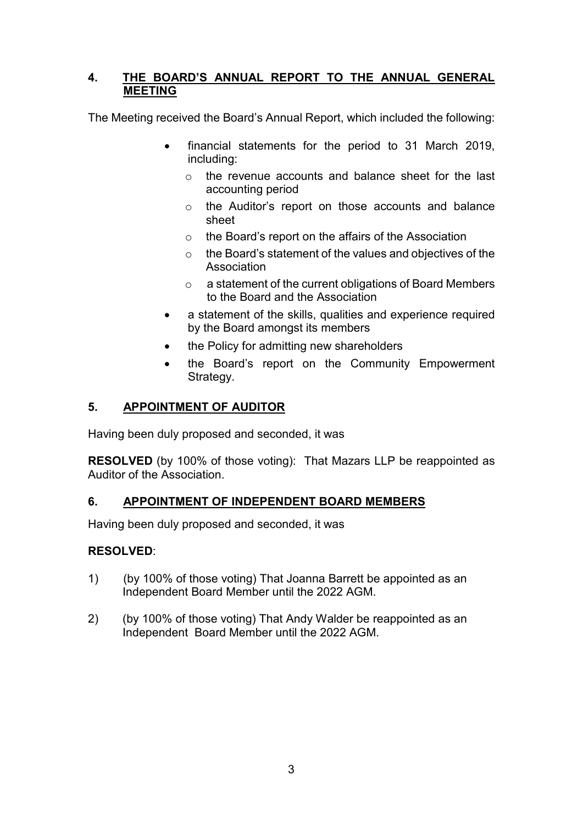## **4. THE BOARD'S ANNUAL REPORT TO THE ANNUAL GENERAL MEETING**

The Meeting received the Board's Annual Report, which included the following:

- financial statements for the period to 31 March 2019, including:
	- o the revenue accounts and balance sheet for the last accounting period
	- o the Auditor's report on those accounts and balance sheet
	- o the Board's report on the affairs of the Association
	- o the Board's statement of the values and objectives of the Association
	- o a statement of the current obligations of Board Members to the Board and the Association
- a statement of the skills, qualities and experience required by the Board amongst its members
- the Policy for admitting new shareholders
- the Board's report on the Community Empowerment Strategy.

## **5. APPOINTMENT OF AUDITOR**

Having been duly proposed and seconded, it was

**RESOLVED** (by 100% of those voting):That Mazars LLP be reappointed as Auditor of the Association.

## **6. APPOINTMENT OF INDEPENDENT BOARD MEMBERS**

Having been duly proposed and seconded, it was

## **RESOLVED**:

- 1) (by 100% of those voting) That Joanna Barrett be appointed as an Independent Board Member until the 2022 AGM.
- 2) (by 100% of those voting) That Andy Walder be reappointed as an Independent Board Member until the 2022 AGM.